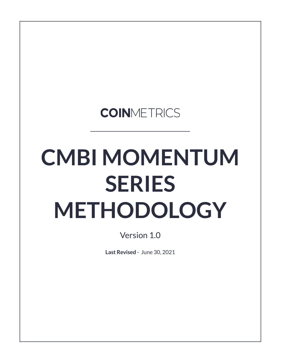## **COINMETRICS**

# **CMBI MOMENTUM SERIES METHODOLOGY**

Version 1.0

**Last Revised** - June 30, 2021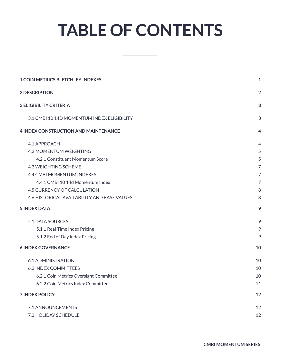## **TABLE OF CONTENTS**

| <b>1 COIN METRICS BLETCHLEY INDEXES</b>     |                |  |  |  |
|---------------------------------------------|----------------|--|--|--|
| <b>2 DESCRIPTION</b>                        | $\overline{2}$ |  |  |  |
| <b>3 ELIGIBILITY CRITERIA</b>               | 3              |  |  |  |
| 3.1 CMBI 10 14D MOMENTUM INDEX ELIGIBILITY  | 3              |  |  |  |
| <b>4 INDEX CONSTRUCTION AND MAINTENANCE</b> | 4              |  |  |  |
| 4.1 APPROACH                                | 4              |  |  |  |
| 4.2 MOMENTUM WEIGHTING                      | 5              |  |  |  |
| 4.2.1 Constituent Momentum Score            | 5              |  |  |  |
| 4.3 WEIGHTING SCHEME                        | $\overline{7}$ |  |  |  |
| 4.4 CMBI MOMENTUM INDEXES                   | 7              |  |  |  |
| 4.4.1 CMBI 10 14d Momentum Index            | 7              |  |  |  |
| 4.5 CURRENCY OF CALCULATION                 | 8              |  |  |  |
| 4.6 HISTORICAL AVAILABILITY AND BASE VALUES | 8              |  |  |  |
| <b>5 INDEX DATA</b>                         | 9              |  |  |  |
| 5.1 DATA SOURCES                            | 9              |  |  |  |
| 5.1.1 Real-Time Index Pricing               | 9              |  |  |  |
| 5.1.2 End of Day Index Pricing              | 9              |  |  |  |
| <b>6 INDEX GOVERNANCE</b>                   | 10             |  |  |  |
| 6.1 ADMINISTRATION                          | 10             |  |  |  |
| <b>6.2 INDEX COMMITTEES</b>                 | 10             |  |  |  |
| 6.2.1 Coin Metrics Oversight Committee      | 10             |  |  |  |
| 6.2.2 Coin Metrics Index Committee          | 11             |  |  |  |
| <b>7 INDEX POLICY</b>                       | 12             |  |  |  |
| 7.1 ANNOUNCEMENTS                           | 12             |  |  |  |
| 7.2 HOLIDAY SCHEDULE                        | 12             |  |  |  |
|                                             |                |  |  |  |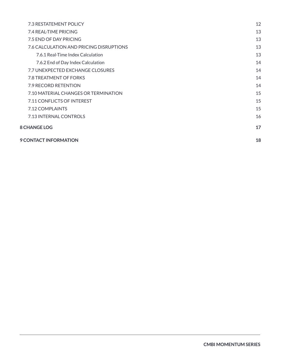| <b>7.3 RESTATEMENT POLICY</b>           | 12 |
|-----------------------------------------|----|
| 7.4 REAL-TIME PRICING                   | 13 |
| 7.5 END OF DAY PRICING                  | 13 |
| 7.6 CALCULATION AND PRICING DISRUPTIONS | 13 |
| 7.6.1 Real-Time Index Calculation       | 13 |
| 7.6.2 End of Day Index Calculation      | 14 |
| 7.7 UNEXPECTED EXCHANGE CLOSURES        | 14 |
| 7.8 TREATMENT OF FORKS                  | 14 |
| 7.9 RECORD RETENTION                    | 14 |
| 7.10 MATERIAL CHANGES OR TERMINATION    | 15 |
| 7.11 CONFLICTS OF INTEREST              | 15 |
| 7.12 COMPLAINTS                         | 15 |
| 7.13 INTERNAL CONTROLS                  | 16 |
| <b>8 CHANGE LOG</b>                     | 17 |
| 9 CONTACT INFORMATION                   | 18 |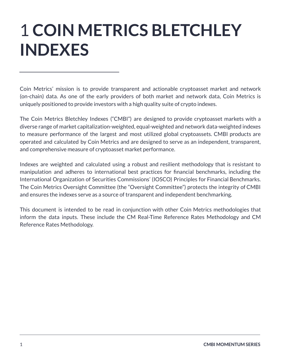## <span id="page-3-0"></span>1 **COIN METRICS BLETCHLEY INDEXES**

Coin Metrics' mission is to provide transparent and actionable cryptoasset market and network (on-chain) data. As one of the early providers of both market and network data, Coin Metrics is uniquely positioned to provide investors with a high quality suite of crypto indexes.

The Coin Metrics Bletchley Indexes ("CMBI") are designed to provide cryptoasset markets with a diverse range of market capitalization-weighted, equal-weighted and network data-weighted indexes to measure performance of the largest and most utilized global cryptoassets. CMBI products are operated and calculated by Coin Metrics and are designed to serve as an independent, transparent, and comprehensive measure of cryptoasset market performance.

Indexes are weighted and calculated using a robust and resilient methodology that is resistant to manipulation and adheres to international best practices for financial benchmarks, including the International Organization of Securities Commissions' (IOSCO) Principles for Financial Benchmarks. The Coin Metrics Oversight Committee (the "Oversight Committee") protects the integrity of CMBI and ensures the indexes serve as a source of transparent and independent benchmarking.

This document is intended to be read in conjunction with other Coin Metrics methodologies that inform the data inputs. These include the CM Real-Time Reference Rates Methodology and CM Reference Rates Methodology.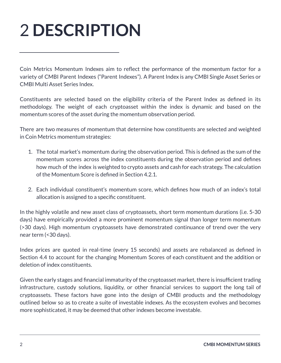## <span id="page-4-0"></span>2 **DESCRIPTION**

Coin Metrics Momentum Indexes aim to reflect the performance of the momentum factor for a variety of CMBI Parent Indexes ("Parent Indexes"). A Parent Index is any CMBI Single Asset Series or CMBI Multi Asset Series Index.

Constituents are selected based on the eligibility criteria of the Parent Index as defined in its methodology. The weight of each cryptoasset within the index is dynamic and based on the momentum scores of the asset during the momentum observation period.

There are two measures of momentum that determine how constituents are selected and weighted in Coin Metrics momentum strategies:

- 1. The total market's momentum during the observation period. This is defined as the sum of the momentum scores across the index constituents during the observation period and defines how much of the index is weighted to crypto assets and cash for each strategy. The calculation of the Momentum Score is defined in Section 4.2.1.
- 2. Each individual constituent's momentum score, which defines how much of an index's total allocation is assigned to a specific constituent.

In the highly volatile and new asset class of cryptoassets, short term momentum durations (i.e. 5-30 days) have empirically provided a more prominent momentum signal than longer term momentum (>30 days). High momentum cryptoassets have demonstrated continuance of trend over the very near term (<30 days).

Index prices are quoted in real-time (every 15 seconds) and assets are rebalanced as defined in Section 4.4 to account for the changing Momentum Scores of each constituent and the addition or deletion of index constituents.

Given the early stages and financial immaturity of the cryptoasset market, there is insufficient trading infrastructure, custody solutions, liquidity, or other financial services to support the long tail of cryptoassets. These factors have gone into the design of CMBI products and the methodology outlined below so as to create a suite of investable indexes. As the ecosystem evolves and becomes more sophisticated, it may be deemed that other indexes become investable.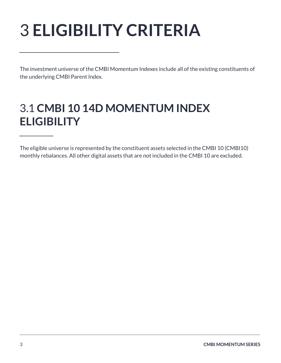## <span id="page-5-0"></span>3 **ELIGIBILITY CRITERIA**

The investment universe of the CMBI Momentum Indexes include all of the existing constituents of the underlying CMBI Parent Index.

### <span id="page-5-1"></span>3.1 **CMBI 10 14D MOMENTUM INDEX ELIGIBILITY**

The eligible universe is represented by the constituent assets selected in the CMBI 10 (CMBI10) monthly rebalances. All other digital assets that are not included in the CMBI 10 are excluded.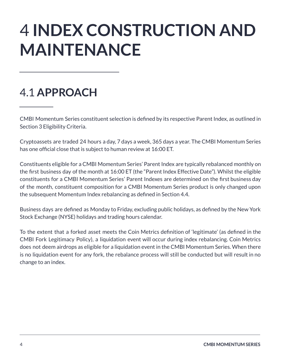## <span id="page-6-0"></span>4 **INDEX CONSTRUCTION AND MAINTENANCE**

## <span id="page-6-1"></span>4.1 **APPROACH**

CMBI Momentum Series constituent selection is defined by its respective Parent Index, as outlined in Section 3 Eligibility Criteria.

Cryptoassets are traded 24 hours a day, 7 days a week, 365 days a year. The CMBI Momentum Series has one official close that is subject to human review at 16:00 ET.

Constituents eligible for a CMBI Momentum Series' Parent Index are typically rebalanced monthly on the first business day of the month at 16:00 ET (the "Parent Index Effective Date"). Whilst the eligible constituents for a CMBI Momentum Series' Parent Indexes are determined on the first business day of the month, constituent composition for a CMBI Momentum Series product is only changed upon the subsequent Momentum Index rebalancing as defined in Section 4.4.

Business days are defined as Monday to Friday, excluding public holidays, as defined by the New York Stock Exchange (NYSE) holidays and trading hours calendar.

To the extent that a forked asset meets the Coin Metrics definition of 'legitimate' (as defined in the CMBI Fork Legitimacy Policy), a liquidation event will occur during index rebalancing. Coin Metrics does not deem airdrops as eligible for a liquidation event in the CMBI Momentum Series. When there is no liquidation event for any fork, the rebalance process will still be conducted but will result in no change to an index.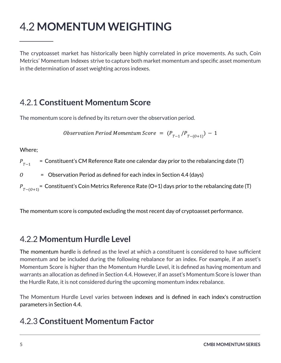## <span id="page-7-0"></span>4.2 **MOMENTUM WEIGHTING**

The cryptoasset market has historically been highly correlated in price movements. As such, Coin Metrics' Momentum Indexes strive to capture both market momentum and specific asset momentum in the determination of asset weighting across indexes.

#### <span id="page-7-1"></span>4.2.1 **Constituent Momentum Score**

The momentum score is defined by its return over the observation period.

Observation Period Momentum Score  $= (P_{T-1}/P_{T-(O+1)}) - 1$ 

Where;

 = Constituent's CM Reference Rate one calendar day prior to the rebalancing date (T)  $P_{T-1}$ 

 $0 =$  Observation Period as defined for each index in Section 4.4 (days)

 $P_{_{T-(O+1)}}^{\phantom{\dag}}$ = Constituent's Coin Metrics Reference Rate (O+1) days prior to the rebalancing date (T)

The momentum score is computed excluding the most recent day of cryptoasset performance.

#### 4.2.2 **Momentum Hurdle Level**

The momentum hurdle is defined as the level at which a constituent is considered to have sufficient momentum and be included during the following rebalance for an index. For example, if an asset's Momentum Score is higher than the Momentum Hurdle Level, it is defined as having momentum and warrants an allocation as defined in Section 4.4. However, if an asset's Momentum Score is lower than the Hurdle Rate, it is not considered during the upcoming momentum index rebalance.

The Momentum Hurdle Level varies between indexes and is defined in each index's construction parameters in Section 4.4.

#### 4.2.3 **Constituent Momentum Factor**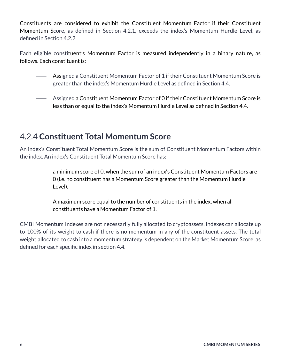Constituents are considered to exhibit the Constituent Momentum Factor if their Constituent Momentum Score, as defined in Section 4.2.1, exceeds the index's Momentum Hurdle Level, as defined in Section 4.2.2.

Each eligible constituent's Momentum Factor is measured independently in a binary nature, as follows. Each constituent is:

- ⸺ Assigned a Constituent Momentum Factor of 1 if their Constituent Momentum Score is greater than the index's Momentum Hurdle Level as defined in Section 4.4.
- ⸺ Assigned a Constituent Momentum Factor of 0 if their Constituent Momentum Score is less than or equal to the index's Momentum Hurdle Level as defined in Section 4.4.

#### 4.2.4 **Constituent Total Momentum Score**

An index's Constituent Total Momentum Score is the sum of Constituent Momentum Factors within the index. An index's Constituent Total Momentum Score has:

- ⸺ a minimum score of 0, when the sum of an index's Constituent Momentum Factors are 0 (i.e. no constituent has a Momentum Score greater than the Momentum Hurdle Level).
- ⸺ A maximum score equal to the number of constituents in the index, when all constituents have a Momentum Factor of 1.

CMBI Momentum Indexes are not necessarily fully allocated to cryptoassets. Indexes can allocate up to 100% of its weight to cash if there is no momentum in any of the constituent assets. The total weight allocated to cash into a momentum strategy is dependent on the Market Momentum Score, as defined for each specific index in section 4.4.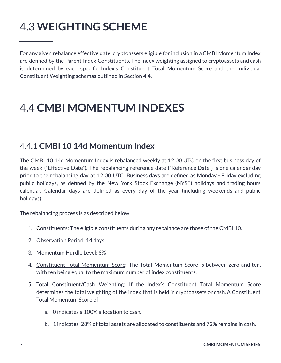## <span id="page-9-0"></span>4.3 **WEIGHTING SCHEME**

For any given rebalance effective date, cryptoassets eligible for inclusion in a CMBI Momentum Index are defined by the Parent Index Constituents. The index weighting assigned to cryptoassets and cash is determined by each specific Index's Constituent Total Momentum Score and the Individual Constituent Weighting schemas outlined in Section 4.4.

### <span id="page-9-1"></span>4.4 **CMBI MOMENTUM INDEXES**

#### <span id="page-9-2"></span>4.4.1 **CMBI 10 14d Momentum Index**

The CMBI 10 14d Momentum Index is rebalanced weekly at 12:00 UTC on the first business day of the week ("Effective Date"). The rebalancing reference date ("Reference Date") is one calendar day prior to the rebalancing day at 12:00 UTC. Business days are defined as Monday - Friday excluding public holidays, as defined by the New York Stock Exchange (NYSE) holidays and trading hours calendar. Calendar days are defined as every day of the year (including weekends and public holidays).

The rebalancing process is as described below:

- 1. Constituents: The eligible constituents during any rebalance are those of the CMBI 10.
- 2. Observation Period: 14 days
- 3. Momentum Hurdle Level: 8%
- 4. Constituent Total Momentum Score: The Total Momentum Score is between zero and ten, with ten being equal to the maximum number of index constituents.
- 5. Total Constituent/Cash Weighting: If the Index's Constituent Total Momentum Score determines the total weighting of the index that is held in cryptoassets or cash. A Constituent Total Momentum Score of:
	- a. 0 indicates a 100% allocation to cash.
	- b. 1 indicates 28% of total assets are allocated to constituents and 72% remains in cash.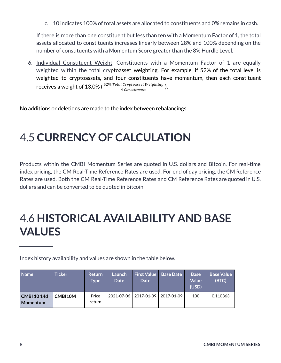c. 10 indicates 100% of total assets are allocated to constituents and 0% remains in cash.

If there is more than one constituent but less than ten with a Momentum Factor of 1, the total assets allocated to constituents increases linearly between 28% and 100% depending on the number of constituents with a Momentum Score greater than the 8% Hurdle Level.

6. Individual Constituent Weight: Constituents with a Momentum Factor of 1 are equally weighted within the total cryptoasset weighting. For example, if 52% of the total level is weighted to cryptoassets, and four constituents have momentum, then each constituent receives a weight of 13.0% ( $\frac{52\% \text{ Total Crypto asset Weighting}}{4 \text{ Constituants}}$ ). 4 Constituents

No additions or deletions are made to the index between rebalancings.

### <span id="page-10-0"></span>4.5 **CURRENCY OF CALCULATION**

Products within the CMBI Momentum Series are quoted in U.S. dollars and Bitcoin. For real-time index pricing, the CM Real-Time Reference Rates are used. For end of day pricing, the CM Reference Rates are used. Both the CM Real-Time Reference Rates and CM Reference Rates are quoted in U.S. dollars and can be converted to be quoted in Bitcoin.

### <span id="page-10-1"></span>4.6 **HISTORICAL AVAILABILITY AND BASE VALUES**

Index history availability and values are shown in the table below.

| <b>Name</b>                    | <b>Ticker</b> | <b>Return</b><br><b>Type</b> | Launch<br><b>Date</b> | <b>Date</b>             | <b>First Value Base Date</b> | <b>Base</b><br><b>Value</b><br>(USD) | <b>Base Value</b><br>(BTC) |
|--------------------------------|---------------|------------------------------|-----------------------|-------------------------|------------------------------|--------------------------------------|----------------------------|
| CMBI 10 14d<br><b>Momentum</b> | CMBI10M       | Price<br>return              |                       | 2021-07-06   2017-01-09 | 2017-01-09                   | 100                                  | 0.110363                   |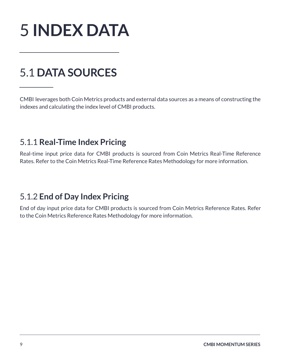<span id="page-11-0"></span>

## <span id="page-11-1"></span>5.1 **DATA SOURCES**

CMBI leverages both Coin Metrics products and external data sources as a means of constructing the indexes and calculating the index level of CMBI products.

#### <span id="page-11-2"></span>5.1.1 **Real-Time Index Pricing**

Real-time input price data for CMBI products is sourced from Coin Metrics Real-Time Reference Rates. Refer to the Coin Metrics Real-Time Reference Rates Methodology for more information.

#### <span id="page-11-3"></span>5.1.2 **End of Day Index Pricing**

End of day input price data for CMBI products is sourced from Coin Metrics Reference Rates. Refer to the Coin Metrics Reference Rates Methodology for more information.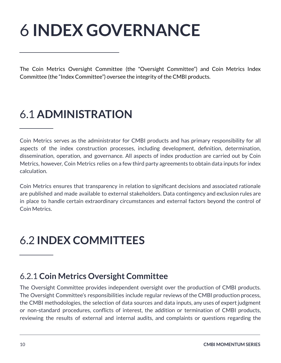## <span id="page-12-0"></span>6 **INDEX GOVERNANCE**

The Coin Metrics Oversight Committee (the "Oversight Committee") and Coin Metrics Index Committee (the "Index Committee") oversee the integrity of the CMBI products.

## <span id="page-12-1"></span>6.1 **ADMINISTRATION**

Coin Metrics serves as the administrator for CMBI products and has primary responsibility for all aspects of the index construction processes, including development, definition, determination, dissemination, operation, and governance. All aspects of index production are carried out by Coin Metrics, however, Coin Metrics relies on a few third party agreements to obtain data inputs for index calculation.

Coin Metrics ensures that transparency in relation to significant decisions and associated rationale are published and made available to external stakeholders. Data contingency and exclusion rules are in place to handle certain extraordinary circumstances and external factors beyond the control of Coin Metrics.

### <span id="page-12-2"></span>6.2 **INDEX COMMITTEES**

#### <span id="page-12-3"></span>6.2.1 **Coin Metrics Oversight Committee**

The Oversight Committee provides independent oversight over the production of CMBI products. The Oversight Committee's responsibilities include regular reviews of the CMBI production process, the CMBI methodologies, the selection of data sources and data inputs, any uses of expert judgment or non-standard procedures, conflicts of interest, the addition or termination of CMBI products, reviewing the results of external and internal audits, and complaints or questions regarding the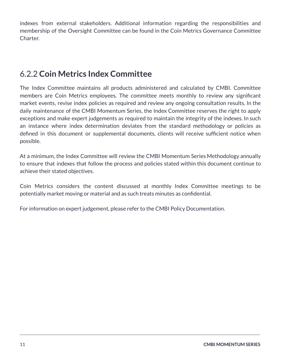indexes from external stakeholders. Additional information regarding the responsibilities and membership of the Oversight Committee can be found in the Coin Metrics Governance Committee Charter.

#### <span id="page-13-0"></span>6.2.2 **Coin Metrics Index Committee**

The Index Committee maintains all products administered and calculated by CMBI. Committee members are Coin Metrics employees. The committee meets monthly to review any significant market events, revise index policies as required and review any ongoing consultation results. In the daily maintenance of the CMBI Momentum Series, the Index Committee reserves the right to apply exceptions and make expert judgements as required to maintain the integrity of the indexes. In such an instance where index determination deviates from the standard methodology or policies as defined in this document or supplemental documents, clients will receive sufficient notice when possible.

At a minimum, the Index Committee will review the CMBI Momentum Series Methodology annually to ensure that indexes that follow the process and policies stated within this document continue to achieve their stated objectives.

Coin Metrics considers the content discussed at monthly Index Committee meetings to be potentially market moving or material and as such treats minutes as confidential.

For information on expert judgement, please refer to the CMBI Policy Documentation.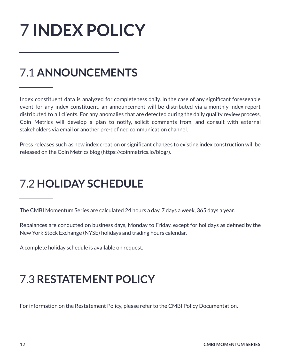## <span id="page-14-0"></span>7 **INDEX POLICY**

## <span id="page-14-1"></span>7.1 **ANNOUNCEMENTS**

Index constituent data is analyzed for completeness daily. In the case of any significant foreseeable event for any index constituent, an announcement will be distributed via a monthly index report distributed to all clients. For any anomalies that are detected during the daily quality review process, Coin Metrics will develop a plan to notify, solicit comments from, and consult with external stakeholders via email or another pre-defined communication channel.

Press releases such as new index creation or significant changes to existing index construction will be released on the Coin Metrics blog (<https://coinmetrics.io/blog/>).

### <span id="page-14-2"></span>7.2 **HOLIDAY SCHEDULE**

The CMBI Momentum Series are calculated 24 hours a day, 7 days a week, 365 days a year.

Rebalances are conducted on business days, Monday to Friday, except for holidays as defined by the New York Stock Exchange (NYSE) holidays and trading hours calendar.

A complete holiday schedule is available on request.

## <span id="page-14-3"></span>7.3 **RESTATEMENT POLICY**

For information on the Restatement Policy, please refer to the CMBI Policy Documentation.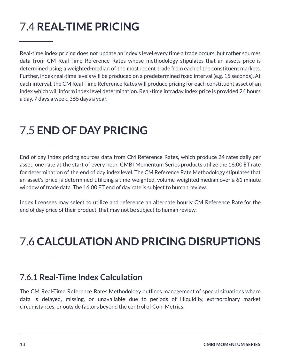## <span id="page-15-0"></span>7.4 **REAL-TIME PRICING**

Real-time index pricing does not update an index's level every time a trade occurs, but rather sources data from CM Real-Time Reference Rates whose methodology stipulates that an assets price is determined using a weighted-median of the most recent trade from each of the constituent markets. Further, index real-time levels will be produced on a predetermined fixed interval (e.g. 15 seconds). At each interval, the CM Real-Time Reference Rates will produce pricing for each constituent asset of an index which will inform index level determination. Real-time intraday index price is provided 24 hours a day, 7 days a week, 365 days a year.

### <span id="page-15-1"></span>7.5 **END OF DAY PRICING**

End of day index pricing sources data from CM Reference Rates, which produce 24 rates daily per asset, one rate at the start of every hour. CMBI Momentum Series products utilize the 16:00 ET rate for determination of the end of day index level. The CM Reference Rate Methodology stipulates that an asset's price is determined utilizing a time-weighted, volume-weighted median over a 61 minute window of trade data. The 16:00 ET end of day rate is subject to human review.

Index licensees may select to utilize and reference an alternate hourly CM Reference Rate for the end of day price of their product, that may not be subject to human review.

## <span id="page-15-2"></span>7.6 **CALCULATION AND PRICING DISRUPTIONS**

#### <span id="page-15-3"></span>7.6.1 **Real-Time Index Calculation**

The CM Real-Time Reference Rates Methodology outlines management of special situations where data is delayed, missing, or unavailable due to periods of illiquidity, extraordinary market circumstances, or outside factors beyond the control of Coin Metrics.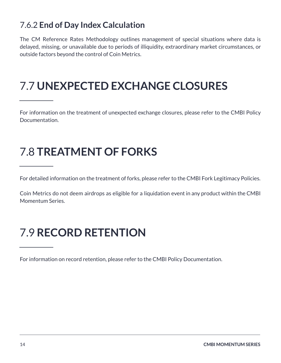### <span id="page-16-0"></span>7.6.2 **End of Day Index Calculation**

The CM Reference Rates Methodology outlines management of special situations where data is delayed, missing, or unavailable due to periods of illiquidity, extraordinary market circumstances, or outside factors beyond the control of Coin Metrics.

## <span id="page-16-1"></span>7.7 **UNEXPECTED EXCHANGE CLOSURES**

For information on the treatment of unexpected exchange closures, please refer to the CMBI Policy Documentation.

## <span id="page-16-2"></span>7.8 **TREATMENT OF FORKS**

For detailed information on the treatment of forks, please refer to the CMBI Fork Legitimacy Policies.

Coin Metrics do not deem airdrops as eligible for a liquidation event in any product within the CMBI Momentum Series.

## <span id="page-16-3"></span>7.9 **RECORD RETENTION**

For information on record retention, please refer to the CMBI Policy Documentation.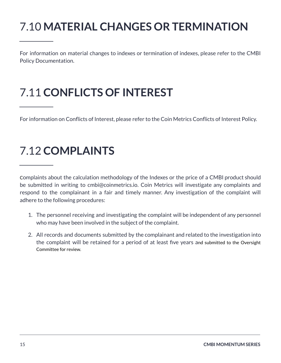## <span id="page-17-0"></span>7.10 **MATERIAL CHANGES OR TERMINATION**

For information on material changes to indexes or termination of indexes, please refer to the CMBI Policy Documentation.

## <span id="page-17-1"></span>7.11 **CONFLICTS OF INTEREST**

For information on Conflicts of Interest, please refer to the Coin Metrics Conflicts of Interest Policy.

### <span id="page-17-2"></span>7.12 **COMPLAINTS**

Complaints about the calculation methodology of the Indexes or the price of a CMBI product should be submitted in writing to [cmbi@coinmetrics.io.](mailto:support@coinmetrics.io) Coin Metrics will investigate any complaints and respond to the complainant in a fair and timely manner. Any investigation of the complaint will adhere to the following procedures:

- 1. The personnel receiving and investigating the complaint will be independent of any personnel who may have been involved in the subject of the complaint.
- 2. All records and documents submitted by the complainant and related to the investigation into the complaint will be retained for a period of at least five years and submitted to the Oversight Committee for review.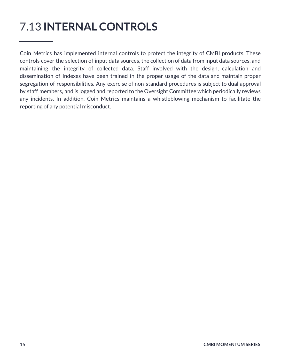## <span id="page-18-0"></span>7.13 **INTERNAL CONTROLS**

Coin Metrics has implemented internal controls to protect the integrity of CMBI products. These controls cover the selection of input data sources, the collection of data from input data sources, and maintaining the integrity of collected data. Staff involved with the design, calculation and dissemination of Indexes have been trained in the proper usage of the data and maintain proper segregation of responsibilities. Any exercise of non-standard procedures is subject to dual approval by staff members, and is logged and reported to the Oversight Committee which periodically reviews any incidents. In addition, Coin Metrics maintains a whistleblowing mechanism to facilitate the reporting of any potential misconduct.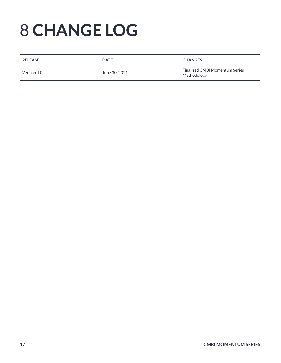## <span id="page-19-0"></span>8 **CHANGE LOG**

| <b>RELEASE</b> | <b>DATE</b>   | <b>CHANGES</b>                                       |
|----------------|---------------|------------------------------------------------------|
| Version 1.0    | June 30, 2021 | <b>Finalized CMBI Momentum Series</b><br>Methodology |